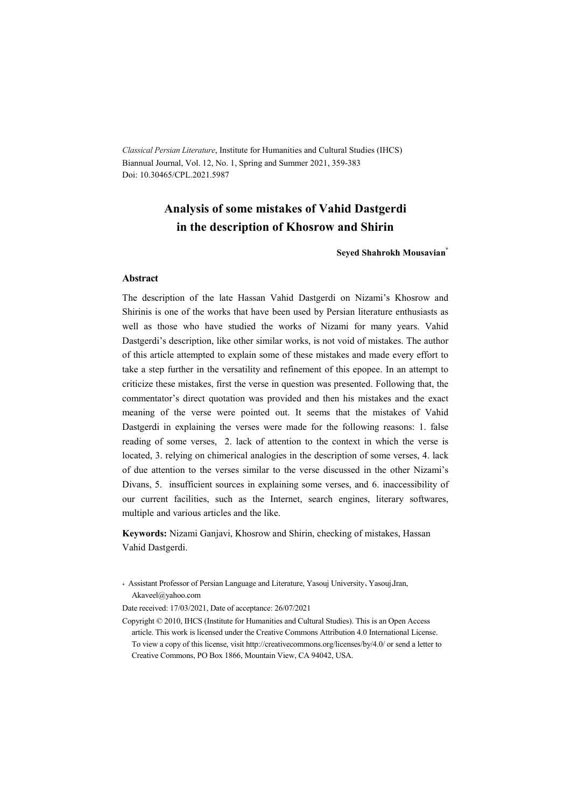*Classical Persian Literature*, Institute for Humanities and Cultural Studies (IHCS) Biannual Journal, Vol. 12, No. 1, Spring and Summer 2021, 359-383 Doi: 10.30465/CPL.2021.5987

## **Analysis of some mistakes of Vahid Dastgerdi in the description of Khosrow and Shirin**

**Seyed Shahrokh Mousavian\***

#### **Abstract**

The description of the late Hassan Vahid Dastgerdi on Nizami's Khosrow and Shirinis is one of the works that have been used by Persian literature enthusiasts as well as those who have studied the works of Nizami for many years. Vahid Dastgerdi's description, like other similar works, is not void of mistakes. The author of this article attempted to explain some of these mistakes and made every effort to take a step further in the versatility and refinement of this epopee. In an attempt to criticize these mistakes, first the verse in question was presented. Following that, the commentator's direct quotation was provided and then his mistakes and the exact meaning of the verse were pointed out. It seems that the mistakes of Vahid Dastgerdi in explaining the verses were made for the following reasons: 1. false reading of some verses, 2. lack of attention to the context in which the verse is located, 3. relying on chimerical analogies in the description of some verses, 4. lack of due attention to the verses similar to the verse discussed in the other Nizami's Divans, 5. insufficient sources in explaining some verses, and 6. inaccessibility of our current facilities, such as the Internet, search engines, literary softwares, multiple and various articles and the like.

**Keywords:** Nizami Ganjavi, Khosrow and Shirin, checking of mistakes, Hassan Vahid Dastgerdi.

\* Assistant Professor of Persian Language and Literature, Yasouj University- Yasouj-Iran, Akaveel@yahoo.com

Date received: 17/03/2021, Date of acceptance: 26/07/2021

Copyright © 2010, IHCS (Institute for Humanities and Cultural Studies). This is an Open Access article. This work is licensed under the Creative Commons Attribution 4.0 International License. To view a copy of this license, visit http://creativecommons.org/licenses/by/4.0/ or send a letter to Creative Commons, PO Box 1866, Mountain View, CA 94042, USA.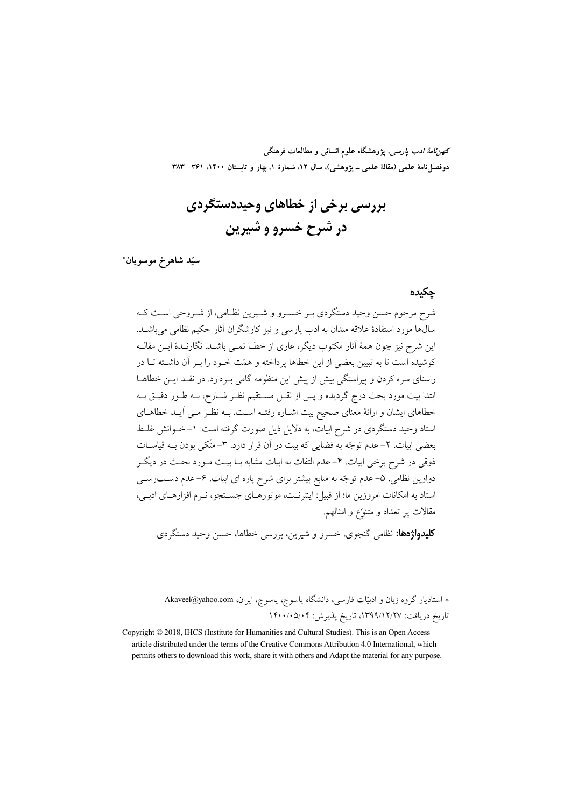*كهن نامهٔ ادب پارسی*، پژوهشگاه علوم انسانی و مطالعات فرهنگی دوفصلiاههٔ علمی (مقالهٔ علمی ـ پژوهشی)، سال ۱۲، شمارهٔ ۱، بهار و تابستان ۱۴۰۰، ۳۶۱ ـ ۳۸۳

پررسي پرخي از خطاهاي وحيددستگردي در شرح خسرو و شیرین

سيّد شاهرخ موسويان\*

حكىدە

.<br>شرح مرحوم حسن وحید دستگردی بـر خسـرو و شـیرین نظـامی، از شـروحی اسـت کـه \_<br>سال@ا مورد استفادهٔ علاقه مندان به ادب پارسی و نیز کاوشگران آثار حکیم نظامی می باشــد. این شرح نیز چون همهٔ آثار مکتوب دیگر، عاری از خطــا نمــی باشــد. نگارنــدهٔ ایــن مقالــه کوشیده است تا به تسین بعضی از این خطاها برداخته و همّت خبود را ب آن داشته تبا در راستای سره کردن و پیراستگی بیش از پیش این منظومه گامی به دارد. در نقلد ایس خطاهـا ابتدا بيت مورد بحث درج گرديده و پس از نقـل مســتقيم نظـر شــارح، بــه طــور دقيــق بــه خطاهای ایشان و ارائهٔ معنای صحیح بیت اشــاره رفتــه اســت. بــه نظــر مــی آیــد خطاهــای استاد وحید دستگردی در شرح ابیات، به دلایل ذیل صورت گرفته است: ۱–خــوانش غلـط بعضی ابیات. ۲– عدم توجّه به فضایی که بیت در آن قرار دارد. ۳– متّکی بودن بـه قیاســات ذوقی در شرح برخی ابیات. ۴–عدم التفات به ابیات مشابه بــا بیــت مــورد بحــث در دیگــر دواوین نظامی. ۵– عدم توجّه به منابع بیشتر برای شرح پاره ای ابیات. ۶–عدم دســت رســی استاد به امکانات امروزین ما؛ از قبیل: اینترنـت، موتورهـای جسـتجو، نــرم افزارهـای ادبــی، مقالات پر تعداد و متنوّع و امثالهم.

**کلیدواژهها:** نظامی گنجوی، خسرو و شیرین، بررسی خطاها، حسن وحید دستگردی.

\* استادیار گروه زبان و ادبیّات فارسی، دانشگاه یاسوج، یاسوج، ایران، Akaveel@yahoo.com تاريخ دريافت: ١٣٩٩/١٢/٢٧، تاريخ پذيرش: ١۴٠٠/٠٥/٠۴

Copyright © 2018, IHCS (Institute for Humanities and Cultural Studies). This is an Open Access article distributed under the terms of the Creative Commons Attribution 4.0 International, which permits others to download this work, share it with others and Adapt the material for any purpose.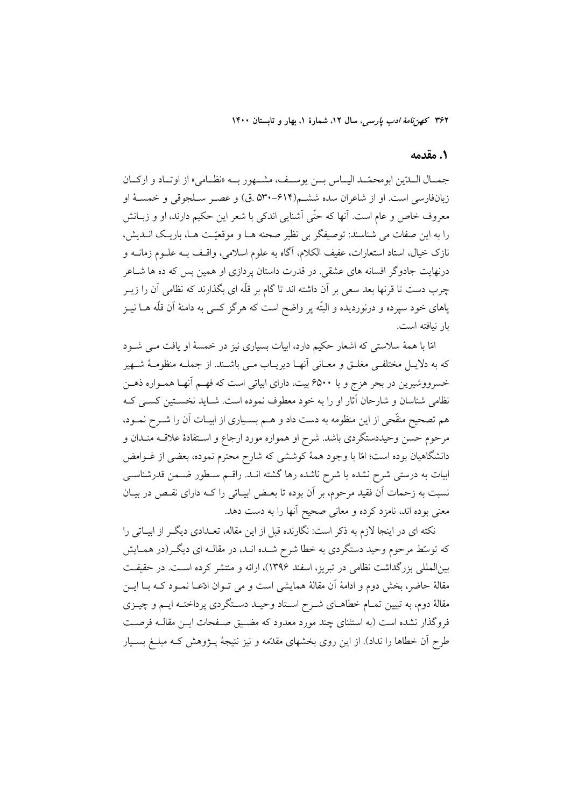## 1. مقدمه

جهسال السدّين ابومحمّــد اليساس بـــن يوســف، مشـــهور بـــه «نظــامي» از اوتساد و اركسان زبانفارسی است. او از شاعران سده ششم(۶۱۴–۵۳۰ ق) و عصـر سـلجوقی و خمسـهٔ او معروف خاص و عام است. آنها که حتّی آشنایی اندکی با شعر این حکیم دارند، او و زبــانش را به این صفات می شناسند: توصیفگر بی نظیر صحنه هـا و موقعیّت هـا، باریـک انــدیش، نازک خیال، استاد استعارات، عفیف الکلام، آگاه به علوم اسلامی، واقـف بــه علــوم زمانــه و درنهایت جادوگر افسانه های عشقی. در قدرت داستان پردازی او همین بس که ده ها شــاعر چرب دست تا قرنها بعد سعی بر آن داشته اند تا گام بر قلّه ای بگذارند که نظامی آن را زیــر پاهای خود سپرده و درنوردیده و البتّه پر واضح است که هرگز کسی به دامنهٔ آن قلّه هــا نیــز يار نيافته است.

امّا با همهٔ سلاستی که اشعار حکیم دارد، ابیات بسیاری نیز در خمسهٔ او یافت مـی شــود که به دلایـل مختلفـی مغلـق و معـانی أنهـا دیریـاب مـی باشـند. از جملــه منظومــهٔ شــهیر خسرووشیرین در بحر هزج و با ۶۵۰۰ بیت، دارای ابیاتی است که فهـم آنهـا همـواره ذهـن نظامی شناسان و شارحان آثار او را به خود معطوف نموده است. شـاید نخسـتین کسـی کـه هم تصحیح منقَّحی از این منظومه به دست داد و هــم بسـیاری از ابیــات آن را شــرح نمــود، مرحوم حسن وحیددستگردی باشد. شرح او همواره مورد ارجاع و اسـتفادهٔ علاقــه منــدان و دانشگاهیان بوده است؛ امّا با وجود همهٔ کوششی که شارح محترم نموده، بعضی از غــوامض ابیات به درستی شرح نشده یا شرح ناشده رها گشته انــد. راقــم ســطور ضــمن قدرشناســی نسبت به زحمات آن فقید مرحوم، بر آن بوده تا بعـض ابیـاتی را کــه دارای نقـص در بیـان معنی بوده اند، نامزد کرده و معانی صحیح آنها را به دست دهد.

نکته ای در اینجا لازم به ذکر است: نگارنده قبل از این مقاله، تعـدادی دیگـر از ابیـاتی را که توسّط مرحوم وحید دستگردی به خطا شرح شـده انـد، در مقالـه ای دیگـر(در همـایش بینالمللی بزرگداشت نظامی در تبریز، اسفند ۱۳۹۶)، ارائه و منتشر کرده است. در حقیقت مقالهٔ حاضر، بخش دوم و ادامهٔ آن مقالهٔ همایشی است و می تــوان ادّعــا نمــود کــه بــا ایــن مقالهٔ دوم، به تبیین تمـام خطاهـای شــرح اسـتاد وحیــد دســتگردی پرداختــه ایــم و چیــزی فروگذار نشده است (به استثنای چند مورد معدود که مضـیق صـفحات ایــن مقالــه فرصـت طرح آن خطاها را نداد). از این روی بخشهای مقدّمه و نیز نتیجهٔ پــژوهش کــه مبلــغ بســیار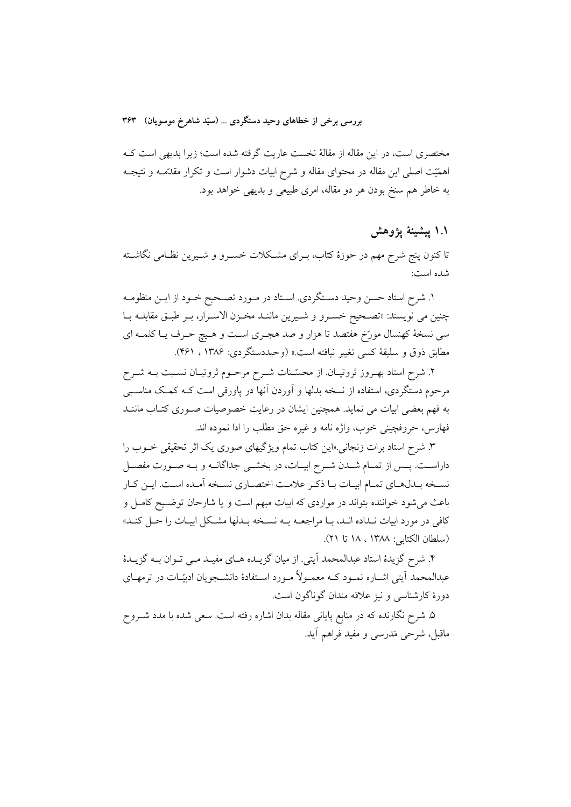مختصری است، در این مقاله از مقالهٔ نخست عاریت گرفته شده است؛ زیرا بدیهی است ک اهمَّيّت اصلَّى اين مقاله در محتواى مقاله و شرح ابيات دشوار است و تكرار مقدَّمـه و نتيجـه به خاطر هم سنخ بودن هر دو مقاله، امری طبیعی و بدیهی خواهد بود.

۱.۱ پیشینهٔ یژوهش

تا کنون پنج شرح مهم در حوزهٔ کتاب، بـرای مشـکلات خســرو و شــیرین نظـامی نگاشــته شده است:

١. شرح استاد حسن وحيد دسـتگردي. اسـتاد در مـورد تصـحيح خـود از ايـن منظومـه چنین می نویسند: «تصـحیح خسـرو و شـیرین ماننـد مخـزن الاسـرار، بـر طبـق مقابلـه بـا سی نسخهٔ کهنسال مورّخ هفتصد تا هزار و صد هجـری اسـت و هـیچ حـرف یـا کلمـه ای مطابق ذوق و سليقة كسى تغيير نيافته است.» (وحيددستگردي: ۱۳۸۶ ، ۴۶۱).

۲. شرح استاد بهـروز ثروتيـان. از محسّـنات شـرح مرحـوم ثروتيـان نسـبت بــه شـرح مرحوم دستگردی، استفاده از نسخه بدلها و آوردن آنها در پاورقی است کـه کمـک مناسـبـی به فهم بعضی ابیات می نماید. همچنین ایشان در رعایت خصوصیات صـوری کتـاب ماننــد فهارس، حروفچينې خوب، واژه نامه و غيره حق مطلب را ادا نموده اند.

۳. شرح استاد برات زنجانی «این کتاب تمام ویژگیهای صوری یک اثر تحقیقی خــوب را داراسـت. پــس از تمــام شــدن شــرح ابيــات، در بخشــي جداگانــه و بــه صــورت مفصــل نسـخه بـدلهـاي تمـام ابيـات بـا ذكـر علامـت اختصـاري نسـخه أمـده اسـت. ايـن كـار باعث می شود خواننده بتواند در مواردی که ابیات مبهم است و یا شارحان توضـیح کامـل و کافی در مورد ابیات نـداده انـد، بـا مراجعــه بــه نســخه بــدلها مشــکل ابیــات را حــل کنــد» (سلطان الكتابي: ١٣٨٨ ، ١٨ تا ٢١).

۴. شرح گزیدهٔ استاد عبدالمحمد اَیتی. از میان گزیـده هـای مفیـد مـی تـوان بـه گزیـدهٔ عبدالمحمد اّیتی اشــاره نمــود کــه معمــولاً مــورد اســتفادهٔ دانشــجویان ادبیّــات در ترمهــای دورهٔ کارشناسی و نیز علاقه مندان گوناگون است.

۵. شرح نگارنده که در منابع پایانی مقاله بدان اشاره رفته است. سعی شده با مدد شــروح ماقبل، شرحی مَدرسی و مفید فراهم آید.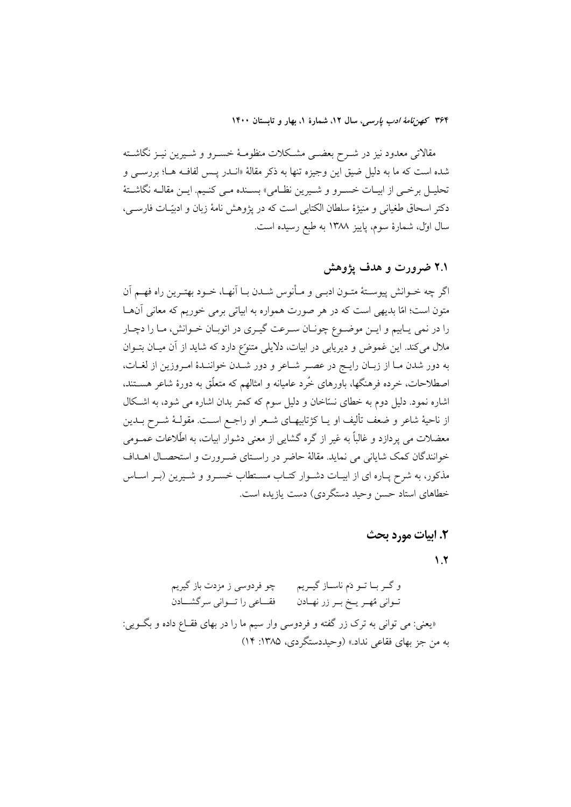مقالاتی معدود نیز در شــرح بعضــی مشــکلات منظومــهٔ خســرو و شــیرین نیــز نگاشــته شده است که ما به دلیل ضیق این وجیزه تنها به ذکر مقالهٔ «انــدر یــس لفافــه هــا؛ بررســی و تحليـل برخـي از ابيـات خسـرو و شـيرين نظـامي» بسـنده مـي كنـيم. ايـن مقالــه نگاشــتهٔ دكتر اسحاق طغياني و منيژهٔ سلطان الكتابي است كه در يژوهش نامهٔ زبان و ادبيّـات فارســي، سال اول، شمارهٔ سوم، پاییز ۱۳۸۸ به طبع رسیده است.

# ۲.۱ ضرورت و هدف یژوهش

اگر چه خــوانش پیوســتهٔ متــون ادبــي و مــأنوس شــدن بــا آنهــا، خــود بهتــرین راه فهــم آن متون است؛ امّا بدیهی است که در هر صورت همواره به ابیاتی برمی خوریم که معانی آنهـا را در نمي پابيم و ايـن موضـوع چونـان سـرعت گيـري در اتوبـان خـوانش، مـا را دچـار ملال میکند. این غموض و دیریابی در ابیات، دلایلی متنوّع دارد که شاید از آن میـان بتــوان به دور شدن مـا از زبـان رايـج در عصـر شـاعر و دور شـدن خواننـدهٔ امـروزين از لغـات، اصطلاحات، خرده فرهنگها، باورهای خُرد عامیانه و امثالهم که متعلّق به دورهٔ شاعر هســتند، اشاره نمود. دلیل دوم به خطای نساخان و دلیل سوم که کمتر بدان اشاره می شود، به اشکال از ناحیهٔ شاعر و ضعف تألیف او یــا کژتابیهــای شــعر او راجــع اســت. مقولــهٔ شــرح بــدین معضلات می پردازد و غالباً به غیر از گره گشایی از معنی دشوار ابیات، به اطّلاعات عمــومی خوانندگان كمك شاياني مي نمايد. مقالهٔ حاضر در راسـتاي ضـرورت و استحصـال اهــداف مذکور، به شرح پـاره ای از ابیـات دشـوار کتـاب مسـتطاب خسـرو و شـیرین (بـر اسـاس خطاهای استاد حسن وحید دستگردی) دست یازیده است.

## 2. ابيات مورد بحث

 $\lambda$ .7

و گــر بــا تــو دَم ناســاز گيــريـم پـــــــچو فردوسـي ز مزدت باز گيريم فقساعي را تسواني سرگشسادن تــواني مُهــر يــخ بــر زر نهــادن «يعني: مي تواني به ترک زر گفته و فردوسي وار سيم ما را در بهاي فقــاع داده و بگــويي: به من جز بهاي فقاعي نداد.» (وحيددستگردي، ۱۳۸۵: ۱۴)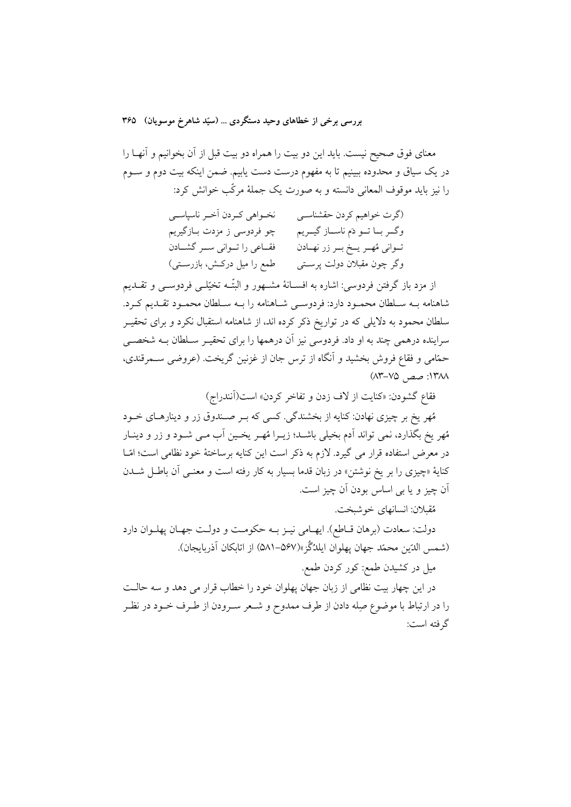معنای فوق صحیح نیست. باید این دو بیت را همراه دو بیت قبل از آن بخوانیم و آنهـا را در یک سیاق و محدوده ببینیم تا به مفهوم درست دست یابیم. ضمن اینکه بیت دوم و ســوم را نیز باید موقوف المعانی دانسته و به صورت یک جملهٔ مرکّب خوانش کرد:

> (گرت خواهیم کردن حقشناسبی مسلحنی خبردن آخیر ناسیاسبی وگــر بــا تــو دَم ناســـاز گيـــريم چو فردوسي ز مزدت بــازگيريم تـواني مُهـر يـخ بـر زر نهـادن مسلم قطـاعي را تــواني ســر گشــادن وگر چون مقبلان دولت پرستی مسلمع را میل درکـش، بازرسـتی)

از مزد باز گرفتن فردوسی: اشاره به افســانهٔ مشــهور و البتّــه تخیّلــی فردوســی و تقــدیم شاهنامه بـه سـلطان محمـود دارد: فردوسـي شـاهنامه را بـه سـلطان محمـود تقـديم كـرد. سلطان محمود به دلایلی که در تواریخ ذکر کرده اند، از شاهنامه استقبال نکرد و برای تحقیـر سراینده درهمی چند به او داد. فردوسی نیز آن درهمها را برای تحقیـر سـلطان بــه شخصــی حمّامی و فقاع فروش بخشید و آنگاه از ترس جان از غزنین گریخت. (عروضی سـمرقندی، ١٣٨٨: صص, ٧٥-٨٣)

فقاع گشودن: «کنایت از لاف زدن و تفاخر کردن» است(اَنندراج)

مُهر يخ بر چيزي نهادن: کنايه از بخشندگي. کسي که بـر صـندوق زر و دينارهـاي خــود مُهر يخ بگذارد، نمي تواند اَدم بخيلي باشـد؛ زيـرا مُهـر يخـين اَب مـي شـود و زر و دينـار در معرض استفاده قرار می گیرد. لازم به ذکر است این کنایه برساختهٔ خود نظامی است؛ امّـا کنایهٔ «چیزی را بر یخ نوشتن» در زبان قدما بسیار به کار رفته است و معنــی آن باطــل شـــدن اَن چيز و يا ٻي اساس بودن اَن چيز است.

مُقبلان: انسانهاي خوشيخت.

دولت: سعادت (برهان قــاطع). ايهــامي نيــز بــه حكومــت و دولــت جهــان پهلــوان دارد (شمس الدّين محمّد جهان يهلوان ايلدُگُز»(۵۶۷–۵۸۱) از اتابكان آذربايجان).

میل در کشیدن طمع: کور کردن طمع.

در این چهار بیت نظامی از زبان جهان پهلوان خود را خطاب قرار می دهد و سه حالـت را در ارتباط با موضوع صِله دادن از طرف ممدوح و شـعر سـرودن از طـرف خــود در نظـر گر فته است: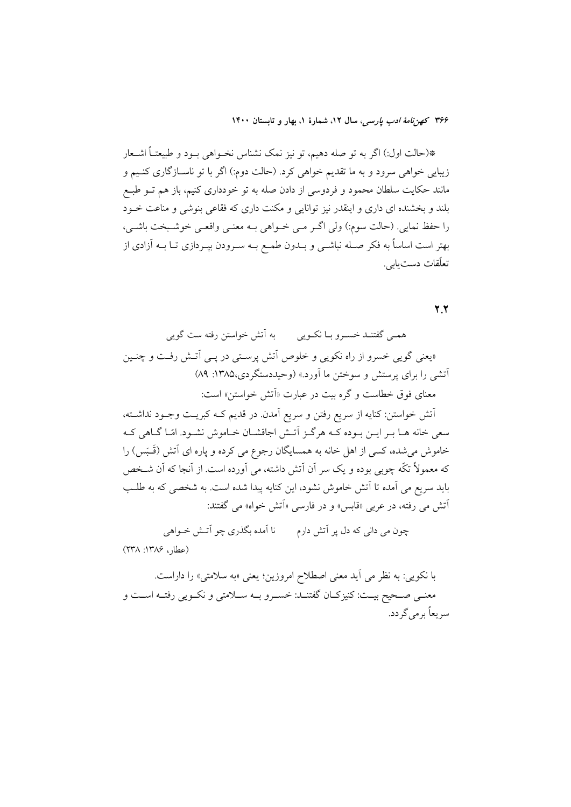\*(حالت اول:) اگر به تو صله دهیم، تو نیز نمک نشناس نخـواهی بـود و طبیعتـاً اشـعار زیبایی خواهی سرود و به ما تقدیم خواهی کرد. (حالت دوم:) اگر با تو ناسـازگاری کنـیم و مانند حکایت سلطان محمود و فردوسی از دادن صله به تو خودداری کنیم، باز هم تــو طبــع بلند و بخشنده ای داری و اینقدر نیز توانایی و مکنت داری که فقاعی بنوشی و مناعت خــود را حفظ نمايي. (حالت سوم:) ولي اگـر مـي خــواهي بــه معنــي واقعــي خوشــبخت باشــي، بهتر است اساساً به فکر صـله نباشــی و بــدون طمــع بــه ســرودن بپــردازی تــا بــه آزادی از تعلّقات دستبابي.

 $\mathbf{y}$ 

همبي گفتنــد خســرو بــا نكــويي مسمه آتش خواستن رفته ست گويي «یعنی گویی خسرو از راه نکویی و خلوص آتش پرستی در پــی آتــش رفـت و چنــین آتشبی را برای پرستش و سوختن ما آورد.» (وحیددستگردی،۱۳۸۵: ۸۹) معنای فوق خطاست و گره بیت در عبارت «اَتش خواستن» است: أتش خواستن: كنايه از سريع رفتن و سريع أمدن. در قديم كـه كبريـت وجـود نداشـته، سعی خانه هـا بـر ايـن بـوده كـه هرگـز اّتـش اجاقشـان خـاموش نشـود. امّـا گـاهي كـه خاموش می شده، کسی از اهل خانه به همسایگان رجوع می کرده و پاره ای آتش (قَـَـبَس) را که معمولاً تکّه چوبی بوده و یک سر آن آتش داشته، می اَورده است. از اَنجا که اَن شـخص بايد سريع مي آمده تا آتش خاموش نشود، اين كنايه پيدا شده است. به شخصي كه به طلب اًتش می رفته، در عربی «قابس» و در فارسی «اَتش خواه» می گفتند:

۔<br>چون می دانی که دل پر آتش دارم نا آمده بگذری چو آتـش خـواهی (عطار، ١٣٨۶: ٢٣٨)

با نکویی: به نظر می آید معنی اصطلاح امروزین؛ یعنی «به سلامتی» را داراست. معنـي صـحيح بيـت: كنيزكـان گفتنـد: خسـرو بـه سـلامتي و نكـويي رفتـه اسـت و سر یعاً بر می گر دد.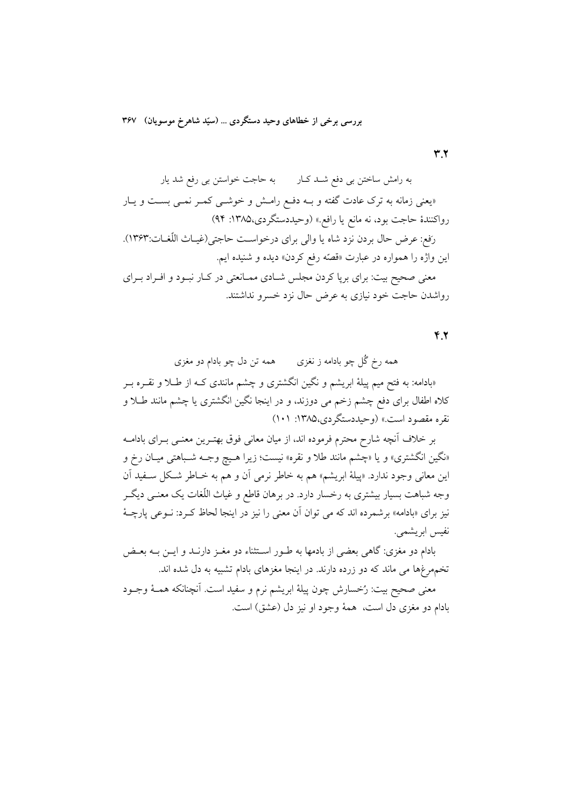$YY$ 

به رامش ساختن بی دفع شـد کـار می به حاجت خواستن بی رفع شد یار «یعنی زمانه به ترک عادت گفته و بــه دفــع رامــش و خوشــی کمــر نمــی بســت و یــار رواکنندهٔ حاجت بود، نه مانع یا رافع.» (وحیددستگردی،۱۳۸۵: ۹۴) رَفع: عرض حال بردن نزد شاه يا والي براي درخواست حاجتي(غيـاث اللّغـات:١٣۶٣). اين واژه را همواره در عبارت «قصّه رفع كردن» ديده و شنيده ايم. معنی صحیح بیت: برای برپا کردن مجلس شـادی ممـانعتی در کـار نبـود و افـراد بـرای رواشدن حاجت خود نیازی به عرض حال نزد خسرو نداشتند.

 $Y.7$ 

همه رخ گُل چو بادامه ز نغزی همه تن دل چو بادام دو مغزی «بادامه: به فتح میم پیلهٔ ابریشم و نگین انگشتری و چشم مانندی کـه از طــلا و نقــره بــر کلاه اطفال برای دفع چشم زخم می دوزند، و در اینجا نگین انگشتری یا چشم مانند طـلا و نقره مقصود است.» (وحیددستگردی،۱۳۸۵: ۱۰۱)

بر خلاف آنچه شارح محترم فرموده اند، از میان معانی فوق بهتـرین معنـی بـرای بادامــه «نگين انگشتري» و يا «چشم مانند طلا و نقره» نيست؛ زيرا هـيچ وجـه شـباهتي ميـان رخ و این معانی وجود ندارد. «پیلهٔ ابریشم» هم به خاطر نرمی آن و هم به خـاطر شـكل سـفید آن وجه شباهت بسیار بیشتری به رخسار دارد. در برهان قاطع و غیاث اللّغات یک معنــی دیگــر نیز برای «بادامه» برشمرده اند که می توان آن معنی را نیز در اینجا لحاظ کـرد: نــوعی پارچــهٔ نفيس ابريشمي.

بادام دو مغزی: گاهی بعضی از بادمها به طـور اســتثناء دو مغــز دارنــد و ایــن بــه بعــض تخمهمرغها می ماند که دو زرده دارند. در اینجا مغزهای بادام تشبیه به دل شده اند.

معنى صحيح بيت: رُخسارش چون پيلهٔ ابريشم نرم و سفيد است. آنچنانکه همــهٔ وجــود بادام دو مغزي دل است، همهٔ وجود او نيز دل (عشق) است.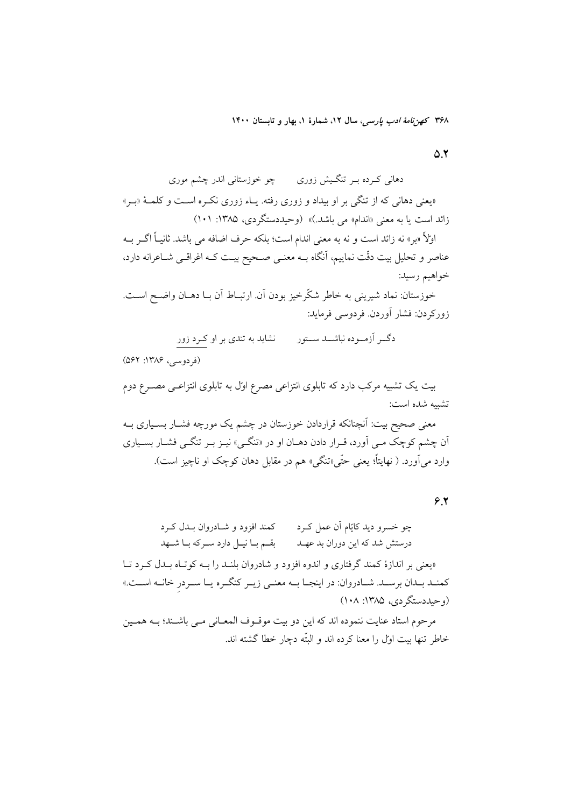$\Delta$ .Y

دهانی کـرده بـر تنگـیش زوری مـــــ چو خوزستانی اندر چشم موری «یعنی دهانی که از تنگی بر او بیداد و زوری رفته. یـاء زوری نکـره اسـت و کلمـهٔ «بـر» زائد است یا به معنی «اندام» می باشد.)» (وحیددستگردی، ۱۳۸۵: ۱۰۱) اولاً «بر» نه زائد است و نه به معنى اندام است؛ بلكه حرف اضافه مى باشد. ثانيـاً اگــر بــه عناصر و تحلیل بیت دقّت نماییم، آنگاه بــه معنــی صــحیح بیــت کــه اغراقــی شــاعرانه دارد، خواهيم رسيد: خوزستان: نماد شیرینی به خاطر شکّرخیز بودن آن ارتبـاط آن بـا دهــان واضــح اســت.

زوركردن: فشار آوردن. فردوسي فرمايد:

دگ ِ اَزمــوده نباشـــد ســـتور نشاید به تندی بر او کـرد زور

(فردوسی، ۱۳۸۶: ۵۶۲)

بیت یک تشبیه مرکب دارد که تابلوی انتزاعی مصرع اول به تابلوی انتزاعـی مصــرع دوم تشيبه شده است: معنی صحیح بیت: آنچنانکه قراردادن خوزستان در چشم یک مورچه فشــار بســیاری بــه ان چشم کوچک مبی اَورد، قـرار دادن دهـان او در «تنگـی» نیـز بـر تنگـی فشـار بسـیاری وارد می آورد. ( نهایتاً؛ یعنی حتّی«تنگی» هم در مقابل دهان کوچک او ناچیز است).

 $5.5$ 

«یعنی بر اندازهٔ کمند گرفتاری و اندوه افزود و شادروان بلنـد را بــه کوتـاه بــدل کــرد تــا كمنـد بـدان برسـد. شـادروان: در اينجـا بــه معنــى زيــر كنگــره يــا ســردر خانــه اســت.» (و حیددستگر دی، ۱۳۸۵: ۱۰۸)

مرحوم استاد عنايت ننموده اند كه اين دو بيت موقـوف المعـاني مـي باشـند؛ بـه همـين خاطر تنها بيت اول را معنا كرده اند و البتّه دچار خطا گشته اند.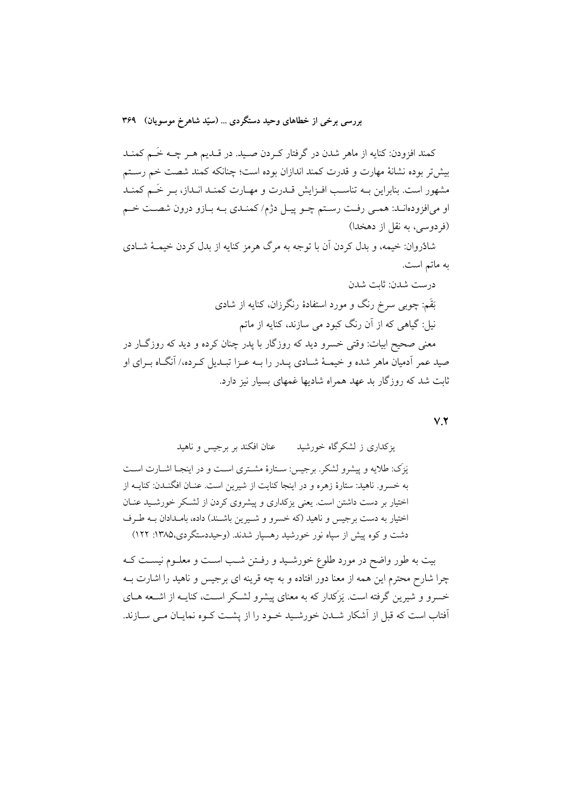کمند افزودن: کنایه از ماهر شدن در گرفتار کـردن صـید. در قــدیم هــر چــه خَــم کمنــد بیش تر بوده نشانهٔ مهارت و قدرت کمند اندازان بوده است؛ چنانکه کمند شصت خم رســتم مشهور است. بنابراین بـه تناسـب افـزایش قــدرت و مهــارت کمنــد انــداز، بــر خَــم کمنــد او میافزودهانـد: همـی رفـت رسـتم چـو پيـل دژم/ كمنـدي بـه بـازو درون شصـت خـم (فردوسی، به نقل از دهخدا)

شادُروان: خيمه، و بدل كردن أن با توجه به مرگ هرمز كنايه از بدل كردن خيمــهٔ شــادي به ماتم است.

درست شدن: ثابت شدن بَقَم: چوبی سرخ رنگ و مورد استفادهٔ رنگرزان، کنایه از شادی نیل: گیاهی که از آن رنگ کبود می سازند، کنایه از ماتم معنی صحیح ابیات: وقتی خسرو دید که روزگار با یدر چنان کرده و دید که روزگــار در

صید عمر آدمیان ماهر شده و خیمـهٔ شـادی پــدر را بــه عــزا تبــدیل کــرده،/ آنگــاه بــرای او ثابت شد که روزگار بد عهد همراه شادیها غمهای بسیار نیز دارد.

 $V.Y$ 

عنان افكند بر برجس و ناهيد یزکداری ز لشکرگاه خورشید

يَزِكَ: طلابه و پيشرو لشكر. برجيس: سـتارهٔ مشـتري اسـت و در اينجـا اشـارت اسـت به خسرو. ناهید: ستارهٔ زهره و در اینجا کنایت از شیرین است. عنـان افگنــدن: کنایــه از اختیار بر دست داشتن است. یعنی یزکداری و پیشروی کردن از لشکر خورشـید عنـان اختیار به دست برجیس و ناهید (که خسرو و شـیرین باشـند) داده، بامـدادان بــه طـرف دشت و کوه پیش از سیاه نور خورشید رهسیار شدند. (وحیددستگردی،۱۳۸۵: ۱۲۲)

بیت به طور واضح در مورد طلوع خورشـید و رفـتن شـب اسـت و معلـوم نیسـت کـه چرا شارح محترم این همه از معنا دور افتاده و به چه قرینه ای برجیس و ناهید را اشارت بــه خسرو و شیرین گرفته است. یَزَکدار که به معنای پیشرو لشکر اسـت، کنایــه از اشــعه هــای ۔<br>اَفتاب است که قبل از اَشکار شـدن خورشـید خـود را از پشـت کـوه نمایـان مـی سـازند.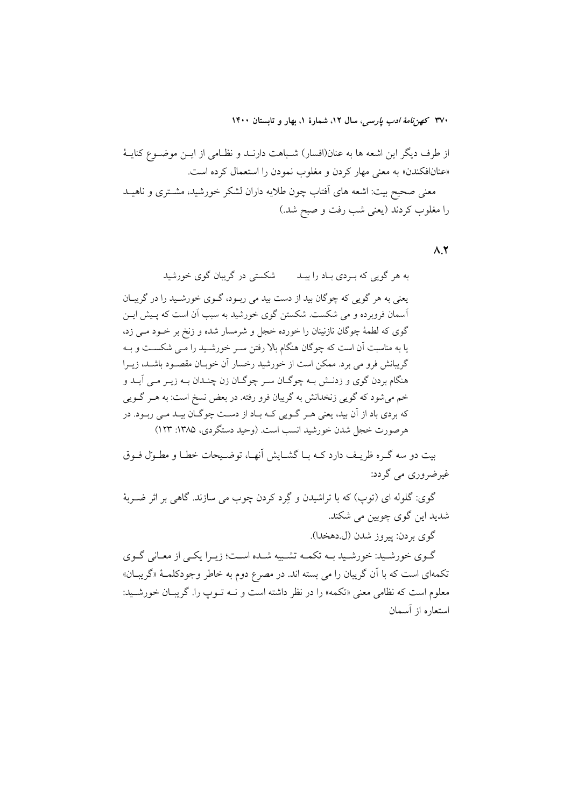از طرف دیگر این اشعه ها به عنان(افسار) شـباهت دارنــد و نظــامی از ایــن موضــوع کنایــهٔ «عنانافکندن» به معنی مهار کردن و مغلوب نمودن را استعمال کرده است.

معنی صحیح بیت: اشعه های آفتاب چون طلایه داران لشکر خورشید، مشـتری و ناهیــد را مغلوب کردند (یعنی شب رفت و صبح شد.)

 $\Lambda$ .Y

شکستی در گریبان گوی خورشید به هر گويې که بـردي بـاد را بيـد یعنی به هر گویی که چوگان بید از دست بید می ربود، گـوی خورشـید را در گریبـان آسمان فروبرده و می شکست. شکستن گوی خورشید به سبب آن است که پیش ایـن گوی که لطمهٔ چوگان نازنینان را خورده خجل و شرمسار شده و زنخ بر خــود مــی زد، یا به مناسبت آن است که چوگان هنگام بالا رفتن سـر خورشـید را مـی شکسـت و بـه گریبانش فرو می برد. ممکن است از خورشید رخسار آن خوبـان مقصـود باشـد، زیـرا هنگام بردن گوي و زدنـش بـه چوگـان سـر چوگـان زن چنـدان بـه زيـر مـي آيـد و خم می شود که گویی زنخدانش به گریبان فرو رفته. در بعض نسخ است: به هـر گـویی که بردي باد از آن بيد، يعني هـر گـويي کـه بـاد از دسـت چوگـان بيـد مـي ربـود. در هرصورت خجل شدن خورشيد انسب است. (وحيد دستگردي، ١٣٨٥: ١٢٣)

بیت دو سه گـره ظریـف دارد کـه بـا گشــایش آنهـا، توضـیحات خطـا و مطـول فـوق غیرضروری می گردد:

گوی: گلوله ای (توپ) که با تراشیدن و گِرد کردن چوب می سازند. گاهی بر اثر ضـربهٔ شدید این گوی چوبین می شکند.

گوي بردن: پيروز شدن (ل.دهخدا).

گـوي خورشـيد: خورشـيد بــه تكمــه تشـبيه شــده اســت؛ زيــرا يكــي از معـاني گــوي تکمهای است که با آن گریبان را می بسته اند. در مصرع دوم به خاطر وجودکلمـهٔ «گریبـان» معلوم است كه نظامي معنى «تكمه» را در نظر داشته است و نــه تــوب را. گريبــان خورشــيد: استعاره از آسمان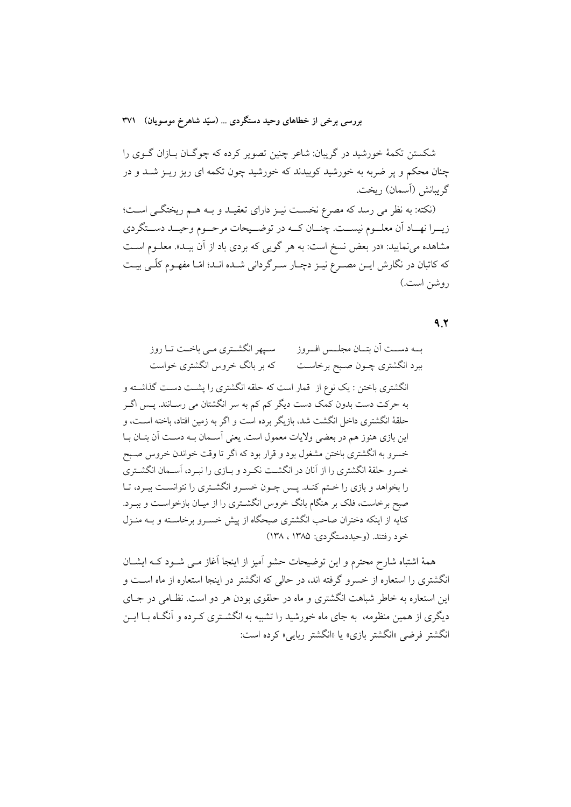شکستن تکمهٔ خورشید در گریبان: شاعر چنین تصویر کرده که چوگـان بـازان گــوی را چنان محکم و یر ضربه به خورشید کوبیدند که خورشید چون تکمه ای ریز ریـز شــد و در گريبانش (اَسمان) ريخت.

(نکته: به نظر می رسد که مصرع نخست نیـز دارای تعقیـد و بـه هـم ریختگـی اسـت؛ زيــرا نهــاد أن معلــوم نيســت. چنــان كــه در توضــيحات مرحــوم وحيــد دســتگردي مشاهده مینمایید: «در بعض نسخ است: به هر گویی که بردی باد از آن بیـد». معلــوم اســت که کاتبان در نگارش ایـن مصـرع نیـز دچـار سـرگردانی شـده انـد؛ امّـا مفهـوم کلّـی بیـت روشن است.)

## $9.7$

همهٔ اشتباه شارح محترم و این توضیحات حشو آمیز از اینجا آغاز مــی شــود کــه ایشــان انگشتری را استعاره از خسرو گرفته اند، در حالی که انگشتر در اینجا استعاره از ماه است و این استعاره به خاطر شباهت انگشتری و ماه در حلقوی بودن هر دو است. نظـامی در جـای دیگری از همین منظومه، به جای ماه خورشید را تشبیه به انگشــتری کــرده و آنگــاه بــا ایــن انگشتر فرضي «انگشتر بازي» يا «انگشتر ربايي» كرده است: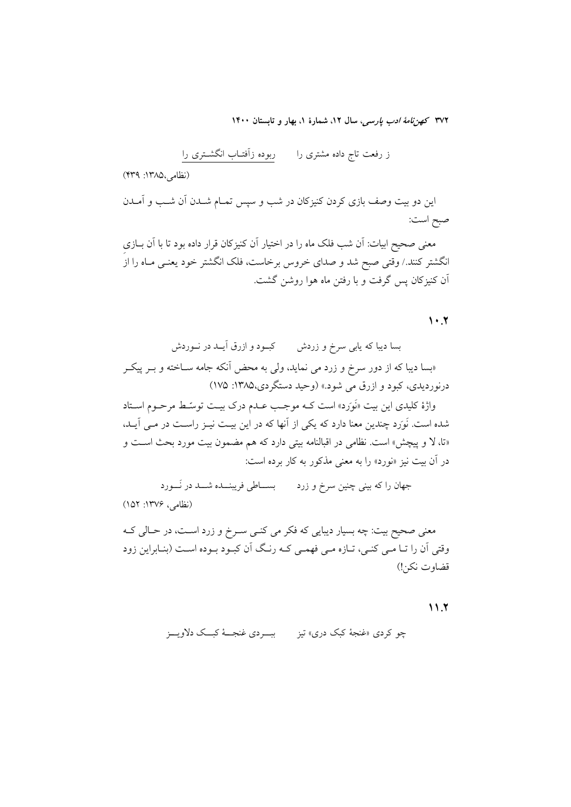(نظامی،۱۳۸۵: ۴۳۹)

این دو بیت وصف بازی کردن کنیزکان در شب و سپس تمـام شــدن آن شــب و آمــدن صبح است:

معنی صحیح ابیات: اَن شب فلک ماه را در اختیار اَن کنیزکان قرار داده بود تا با اَن بــازی انگشتر کنند./ وقتی صبح شد و صدای خروس برخاست، فلک انگشتر خود یعنــی مــاه را ازَ آن کنیزکان پس گرفت و با رفتن ماه هوا روشن گشت.

#### $\lambda \cdot x$

بسا دیبا که یاب*ی سرخ و زردش کبــود و ازرق آیــد در نــوردش* «بسا دیبا که از دور سرخ و زرد می نماید، ول<sub>ی</sub> به محض آنکه جامه ســاخته و بــر پیکــر درنوردیدی، کیود و ازرق می شود.» (وحید دستگردی،۱۳۸۵: ۱۷۵)

واژهٔ کلیدی این بیت «نَوَرَد» است کـه موجـب عــدم درک بیــت توسّــط مرحــوم اســتاد شده است. نَوَرَد چندین معنا دارد که یکی از آنها که در این بیـت نیـز راسـت در مـی آیـد، «تا، لا و پیچش» است. نظامی در اقبالنامه بیتی دارد که هم مضمون بیت مورد بحث است و در آن ببت نیز «نورد» را به معنی مذکور به کار برده است:

جهان را که بینی چنین سرخ و زرد میسساطی فریبنـــده شـــد در نَـــورد (نظامی، ۱۳۷۶: ۱۵۲)

معنی صحیح بیت: چه بسیار دیبایی که فکر می کنـی سـرخ و زرد اسـت، در حـالی کــه وقتی آن را تـا مـی کنـی، تـازه مـی فهمـی کـه رنـگ آن کبـود بـوده اسـت (بنـابراین زود قضاوت نكن!)

### $11.7$

چو کردی «غنجهٔ کبک دری» تیز می پیسردی غنجــهٔ کبــک دلاویــز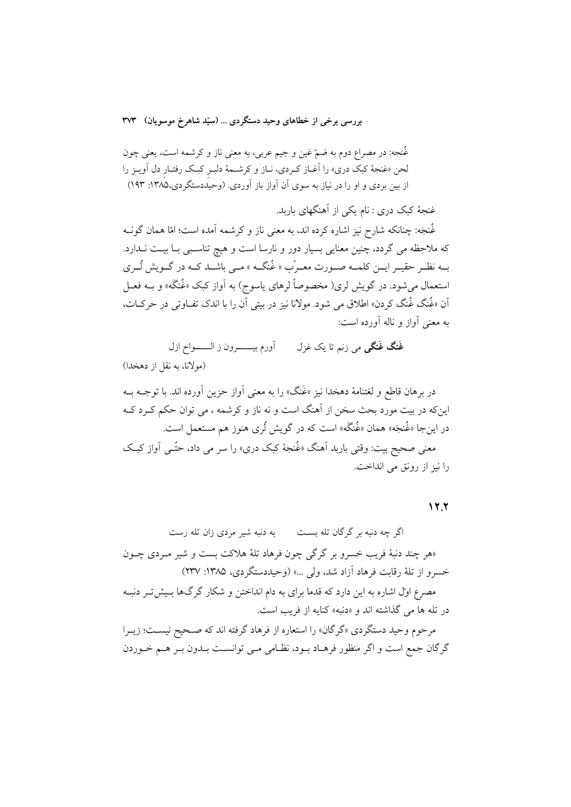غُنجه: در مصراع دوم به ضمّ غین و جیم عربی، به معنی ناز و کرشمه است، یعنی چون لحن «غنجهٔ کبک دری» را آغـاز کـردی، نـاز و کرشـمهٔ دلبـر کبـک رفتـار دل آويـز را از بین بردی و او را در نیاز به سوی آن آواز باز آوردی. (وحیددستگردی،۱۳۸۵: ۱۹۳)

غنجهٔ کبک دری : نام یکی از آهنگهای باربد.

غُنجَه: چنانکه شارح نیز اشاره کرده اند، به معنی ناز و کرشمه آمده است؛ امّا همان گونــه که ملاحظه می گردد، چنین معنایی بسیار دور و نارسا است و هیچ تناسبی بـا بیـت نــدارد. بے نظے حقیے اپن کلمے صورت معیرّب « غُنگے » مبی باشید کیه در گیویش لُیری استعمال میشود. در گویش لری( مخصوصاً لرهای یاسوج) به آواز کبک «غُنگه» و بــه فعــل اّن «غُنگ غُنگ کردن» اطلاق می شود. مولانا نیز در بیتی اّن را با اندک تفـاوتی در حرکـات، په معني آواز و ناله آورده است:

**غَنگ غَنگی** می زنم تا یک غزل أورم بيــــــرون ز الـــــــواح ازل (مولانا، به نقل از دهخدا)

در برهان قاطع و لغتنامهٔ دهخدا نیز «غَنگ» را به معنی آواز حزین آورده اند. با توجــه بــه اینکه در بیت مورد بحث سخن از آهنگ است و نه ناز و کرشمه ، می توان حکم کـرد کــه در اینجا «غُنجَه» همان «غُنگَه» است که در گویش لُری هنوز هم مستعمل است. معنی صحیح بیت: وقتی باربد اَهنگ «غُنجهٔ کبک دری» را سر می داد، حتّــی اَواز کبــک را نيز از رونق مي انداخت.

#### $17.7$

اگر چه دنبه بر گرگان تله بســت مسلم به دنبه شیر مردی زان تله رست «هر چند دنبهٔ فریب خسرو بر گرگی چون فرهاد تلهٔ هلاکت بست و شیر مـردی چــون خسرو از تلهٔ رقابت فرهاد آزاد شد، ولي ...» (وحيددستگردي، ۱۳۸۵: ۲۳۷) مصرع اول اشاره به این دارد که قدما برای به دام انداختن و شکار گرگ&ا بـیش تـر دنبـه در تله ها مي گذاشته اند و «دنبه» كنايه از فريب است. مرحوم وحید دستگردی «گرگان» را استعاره از فرهاد گرفته اند که صـحیح نیسـت؛ زیــرا

گرگان جمع است و اگر منظور فرهـاد بـود، نظـامی مـی توانسـت بـدون بـر هـم خـوردن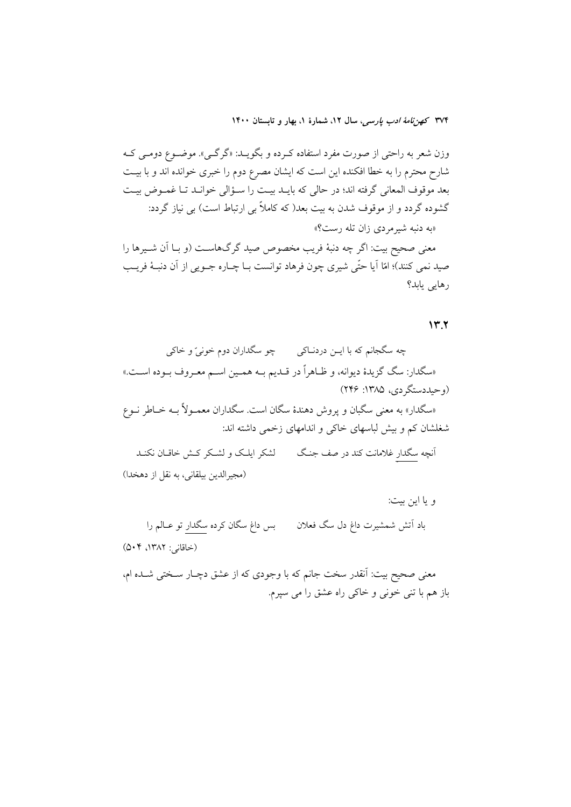وزن شعر به راحتی از صورت مفرد استفاده کـرده و بگویــد: «گرگــی». موضــوع دومــی کــه شارح محترم را به خطا افکنده این است که ایشان مصرع دوم را خبری خوانده اند و با بیـت بعد موقوف المعاني گرفته اند؛ در حالي كه بايـد بيـت را سـؤالي خوانـد تـا غمـوض بيـت گشوده گردد و از موقوف شدن به بیت بعد( که کاملاً بی ارتباط است) بی نیاز گردد: «به دنبه شیر مردی زان تله رست؟» معنى صحيح بيت: اگر چه دنبهٔ فريب مخصوص صيد گرگ&است (و بــا اَن شــيرها را صيد نمي كنند)؛ امّا أيا حتّى شيري چون فرهاد توانست بـا چـاره جــويي از أن دنبــهٔ فريــب رهایی بابد؟

### $Y'$

و يا اين بيت: بس داغ سگان کرده سگدار تو عــالم را باد آتش شمشیرت داغ دل سگ فعلان (خاقانی: ۱۳۸۲، ۵۰۴)

معنی صحیح بیت: آنقدر سخت جانم که با وجودی که از عشق دچـار سـختی شــده ام، باز هم با تني خوني و خاكي راه عشق را مي سيرم.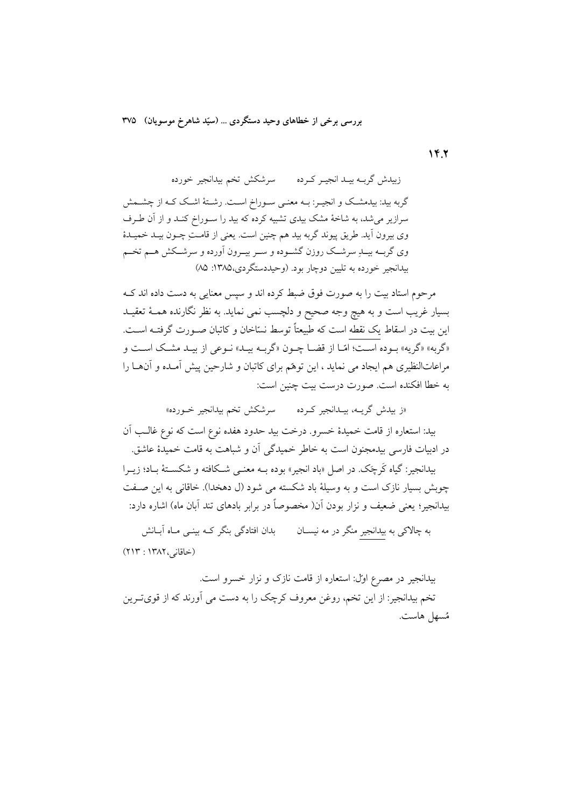$YY$ 

گربه بید: بیدمشک و انجیـر: بــه معنــی ســوراخ اســت. رشــتهٔ اشــک کــه از چشــمش سرازیر می شد، به شاخهٔ مشک بیدی تشبیه کرده که بید را سـوراخ کنـد و از آن طـرف وي بيرون آيد. طريق پيوند گربه بيد هم چنين است. يعني از قامتِ چـون بيـد خميــدۀ وي گربــه بيـــلـر سرشـــک روزن گشــوده و ســر بيــرون اَورده و سرشــکش هــم تخــم بیدانجیر خورده به تلیین دوچار بود. (وحیددستگردی،۱۳۸۵: ۸۵)

مرحوم استاد بيت را به صورت فوق ضبط كرده اند و سيس معنايي به دست داده اند كــه بسیار غریب است و به هیچ وجه صحیح و دلچسب نمی نماید. به نظر نگارنده همـهٔ تعقیـد این بیت در اسقاط یک نقطه است که طبیعتاً توسط نسّاخان و کاتبان صـورت گرفتــه اســت. «گربه» «گریه» بـوده اسـت؛ امّـا از قضـا چـون «گربـه بيـد» نـوعي از بيـد مشـك اسـت و مراعاتالنظیری هم ایجاد می نماید ، این توهّم برای کاتبان و شارحین پیش آمـده و آنهـا را به خطا افکنده است. صورت درست بیت چنین است:

«ز بیدش گریــه، بیــدانجیر کــرده سرشکش تخم بیدانجیر خــورده» بید: استعاره از قامت خمیدهٔ خسرو. درخت بید حدود هفده نوع است که نوع غالـب آن در ادبیات فارسی بیدمجنون است به خاطر خمیدگی آن و شباهت به قامت خمیدهٔ عاشق.

بيدانجير: گياه کَرچَک در اصل «باد انجير» بوده بــه معنــي شــکافته و شکســتهٔ بــاد؛ زيــرا چوبش بسیار نازک است و به وسیلهٔ باد شکسته می شود (ل دهخدا). خاقانی به این صفت بیدانجیر؛ یعنی ضعیف و نزار بودن آن( مخصوصاً در برابر بادهای تند آبان ماه) اشاره دارد:

به چالاکی به بیدانجیر منگر در مه نیســان بدان افتادگی بنگر کــه بینــی مــاه آبــانش (خاقانی، ۱۳۸۲ : ۲۱۳)

بیدانجیر در مصرع اول: استعاره از قامت نازک و نزار خسرو است. تخم بیدانجیر: از این تخم، روغن معروف کرچک را به دست می آورند که از قویتـرین مُسهل هاست.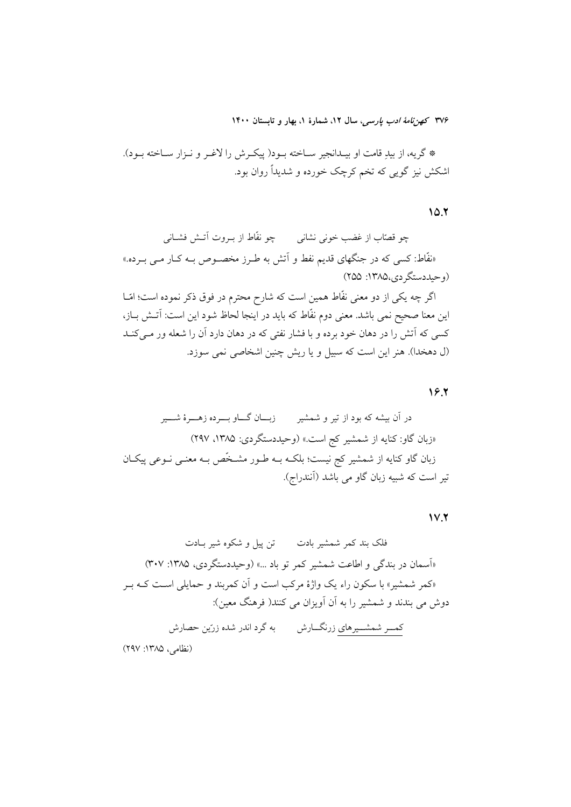\* گريه، از بيدِ قامت او بيــدانجير ســاخته بــود( پيكــرش را لاغــر و نــزار ســاخته بــود). اشکش نیز گویی که تخم کرچک خورده و شدیداً روان بود.

 $10.7$ 

چو قصّاب از غضب خونی نشانی چو نفّاط از بــروت آتــش فشــانی «نفَّاط: کسی که در جنگهای قدیم نفط و اَتش به طـرز مخصـوص بـه کـار مـی بـرده.» (وحيددستگر دي،۱۳۸۵: ۲۵۵) اگر چه یکی از دو معنی نفّاط همین است که شارح محترم در فوق ذکر نموده است؛ امّــا این معنا صحیح نمی باشد. معنی دوم نفّاط که باید در اینجا لحاظ شود این است: اَتــش بــاز، کسی که آتش را در دهان خود برده و با فشار نفتی که در دهان دارد آن را شعله ور مــیکنــد (ل دهخدا). هنر این است که سبیل و یا ریش چنین اشخاصی نمی سوزد.

 $19.7$ 

 $V.7$ 

<mark>کمـــر شمشــــیرهای</mark> زرنگـــارش به گرد اندر شده زرّین حصارش

(نظامی، ۱۳۸۵: ۲۹۷)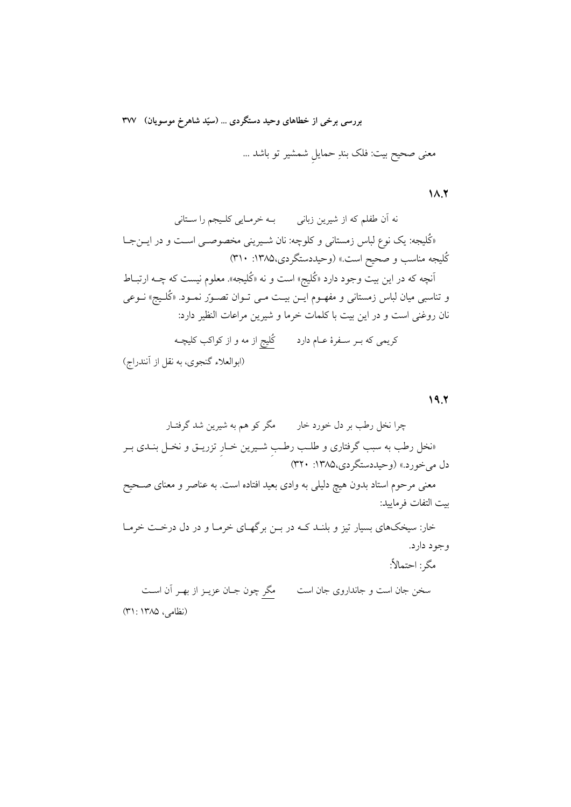معنی صحیح بیت: فلک بندِ حمایل شمشیر تو باشد …

 $\lambda \lambda$ 

نه اّن طفلم که از شیرین زبان<sub>ی</sub> میلم خرمـایی کلـیجم را سـتانی «کُلیجه: یک نوع لباس زمستانی و کلوچه: نان شـیرینی مخصوصـی اسـت و در ایــنجــا کُلیجه مناسب و صحیح است.» (وحیددستگردی،۱۳۸۵: ۳۱۰) اًنچه که در این بیت وجود دارد «کُلیج» است و نه «کُلیجه». معلوم نیست که چــه ارتبــاط و تناسبی میان لباس زمستانی و مفهـوم ایــن بیــت مــی تــوان تصــور نمــود. «کُلــیج» نــوعی نان روغنی است و در این بیت با کلمات خرما و شیرین مراعات النظیر دارد: کریمی که بــر ســفرهٔ عــام دارد کُلیج از مه و از کواکب کلیچــه (ابوالعلاء گنجوي، به نقل از آنندراج)

 $19.7$ 

و جو د دار د.

مگر : احتمالاً:

سخن جان است و جانداروی جان است مگر چون جـان عزیــز از بهــر آن اســت (نظامی، ۱۳۸۵: ۳۱)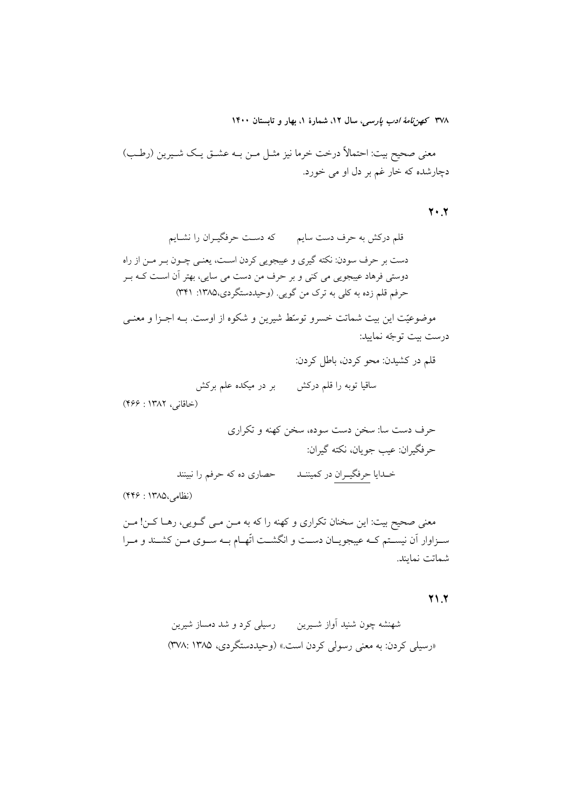معنى صحيح بيت: احتمالاً درخت خرما نيز مثـل مـن بــه عشــق يـك شــيرين (رطـب) دچارشده که خار غم بر دل او می خورد.

 $Y \cdot Y$ 

قلم درکش به حرف دست سایم مصلح حرفگیـران را نشـایم دست بر حرف سودن: نکته گیری و عیبجویی کردن اسـت، یعنـی چــون بــر مــن از راه دوستی فرهاد عیبجویی می کنی و بر حرف من دست می سایی، بهتر آن اسـت کـه بــر حرفم قلم زده به کلی به ترک من گویی. (وحیددستگردی،۱۳۸۵: ۳۴۱)

موضوعیّت این بیت شماتت خسرو توسّط شیرین و شکوه از اوست. بـه اجـزا و معنـی درست بيت توجّه نماييد:

قلم در کشیدن: محو کردن، باطل کردن:

بر در میکده علم برکش ساقیا توبه را قلم درکش

(خاقانی، ۱۳۸۲: ۴۶۶)

(نظامی،۱۳۸۵ : ۴۴۶)

معنی صحیح بیت: این سخنان تکراری و کهنه را که به مــن مــی گــویی، رهــا کــن! مــن سـزاوار اّن نيسـتم كــه عيبجويــان دســت و انگشــت اتّهــام بــه ســوى مــن كشــند و مــرا شماتت نمايند.

#### $Y \setminus Y$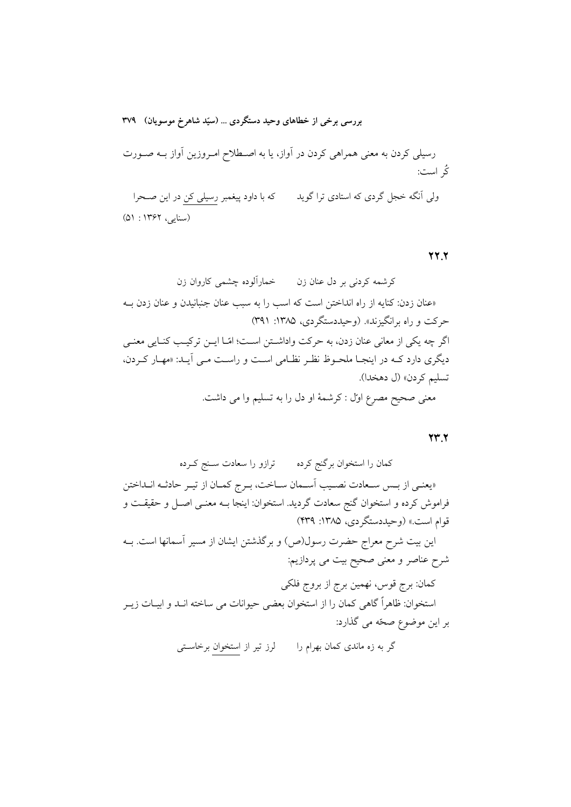(سنایبی، ۱۳۶۲ : ۵۱)

**77.7** 

 $\mathbf{Y} \mathbf{Y}$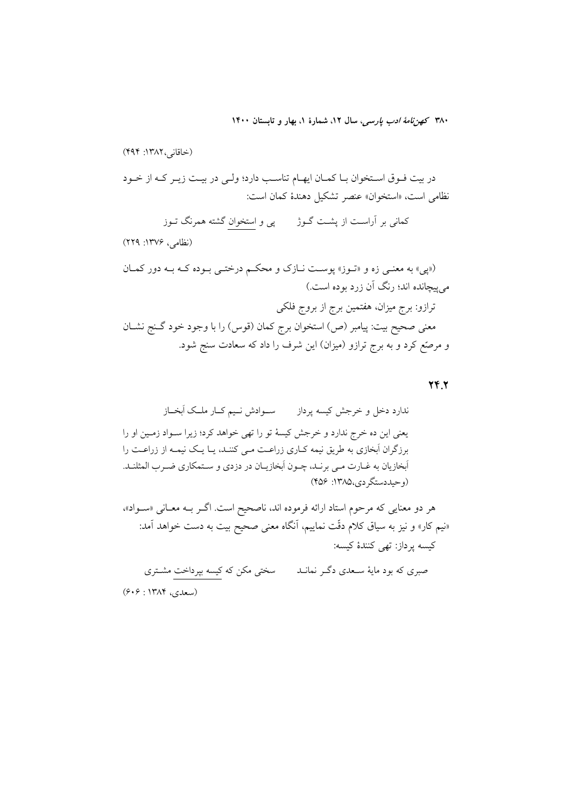$YY.$ 

هر دو معنایی که مرحوم استاد ارائه فرموده اند، ناصحیح است. اگـر بــه معــانی «ســواد»، «نیم کار» و نیز به سیاق کلام دقّت نماییم، اَنگاه معنی صحیح بیت به دست خواهد اَمد: كيسه پرداز: تهي كنندهٔ كيسه:

صبری که بود مایهٔ سـعدی دگــر نمانــد سختی مکن که کیسه بپرداخت مشــتری (سعدی، ۱۳۸۴ : ۶۰۶)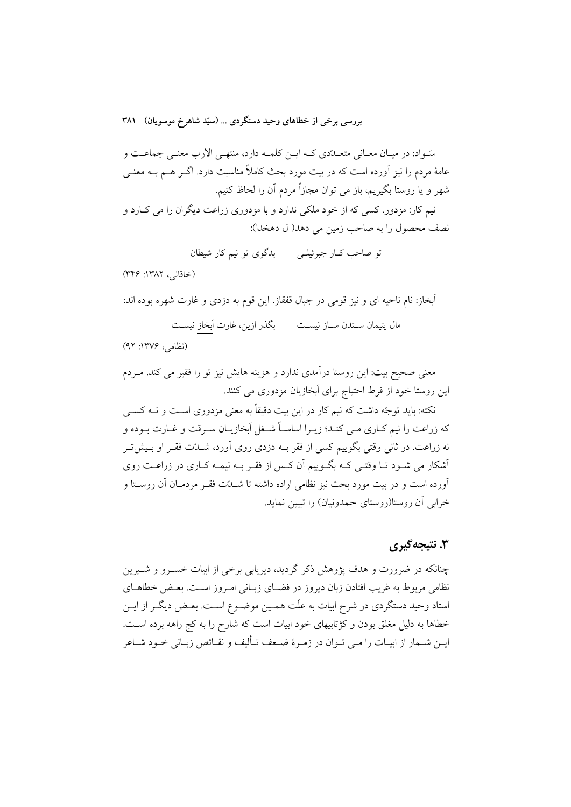سَـواد: در میـان معـانی متعــدّدي كــه ايــن كلمــه دارد، منتهــی الارب معنــی جماعــت و عامهٔ مردم را نیز آورده است که در بیت مورد بحث کاملاً مناسبت دارد. اگــر هــم بــه معنــی شهر و یا روستا بگیریم، باز می توان مجازاً مردم آن را لحاظ کنیم. نیم کار: مزدور. کسی که از خود ملکی ندارد و با مزدوری زراعت دیگران را می کــارد و

نصف محصول را به صاحب زمین می دهد( ل دهخدا):

تو صاحب کـار جبرئيلـي \_\_\_\_\_ بدگوي تو نيم کار شيطان

(خاقانی، ١٣٨٢: ٣۴۶)

اَبخاز: نام ناحیه ای و نیز قومی در جبال قفقاز. این قوم به دزدی و غارت شهره بوده اند:

مال يتيمان ســتدن ســاز نيســت بگذر ازين، غارت أبخاز نيســت

(نظامی، ۱۳۷۶: ۹۲)

معنی صحیح بیت: این روستا درآمدی ندارد و هزینه هایش نیز تو را فقیر می کند. مـردم این روستا خود از فرط احتیاج برای اَبخازیان مزدوری می کنند.

نکته: باید توجّه داشت که نیم کار در این بیت دقیقاً به معنی مزدوری اسـت و نــه کســی که زراعت را نیم کـاری مـی کنـد؛ زیـرا اساسـاً شـغل اَبخازیـان سـرقت و غـارت بـوده و نه زراعت. در ثانی وقتی بگوییم کسی از فقر بــه دزدی روی آورد، شــدّت فقــر او بــیش تــر أشکار می شـود تــا وقتــی کــه بگــوییم آن کـس از فقــر بــه نیمــه کــاری در زراعــت روی آورده است و در بیت مورد بحث نیز نظامی اراده داشته تا شــدّت فقــر مردمــان آن روســتا و خرابی آن روستا(روستای حمدونیان) را تبیین نماید.

## ۳. نتىجەگىرى

چنانکه در ضرورت و هدف پژوهش ذکر گردید، دیریابی برخی از ابیات خسـرو و شـیرین نظامی مربوط به غریب افتادن زبان دیروز در فضـای زبـانی امـروز اسـت. بعـض خطاهـای استاد وحید دستگردی در شرح ابیات به علّت همـین موضـوع اسـت. بعـض دیگـر از ایــن خطاها به دلیل مغلق بودن و کژتابیهای خود ابیات است که شارح را به کج راهه برده است. ايــن شــمار از ابيــات را مــي تــوان در زمــرهٔ ضــعف تــأليف و نقــائص زبــاني خــود شــاعر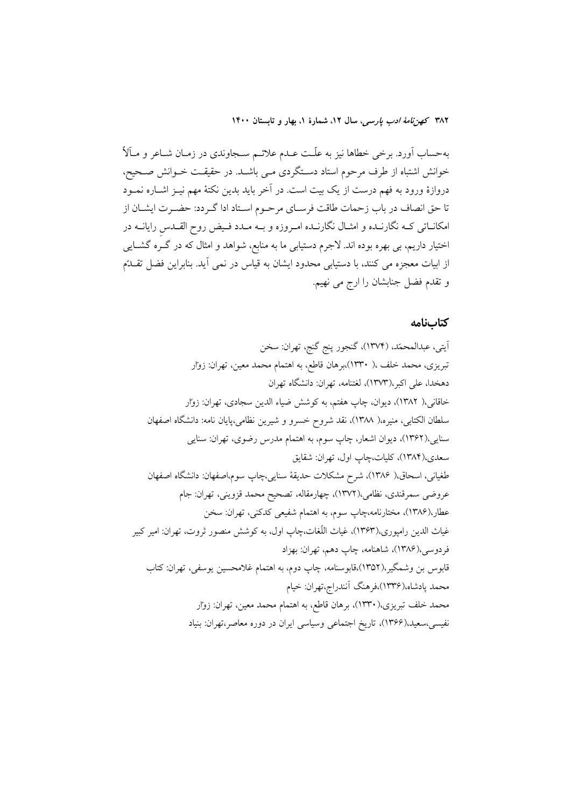بهحساب اَورد. برخی خطاها نیز به علّـت عــدم علائــم ســجاوندی در زمــان شــاعر و مــآلاً ُ خوانش اشتباه از طرف مرحوم استاد دستگردی مـی باشـد. در حقیقـت خــوانش صــحیح، دروازهٔ ورود به فهم درست از یک بیت است. در آخر باید بدین نکتهٔ مهم نیـز اشــاره نمــود تا حق انصاف در باب زحمات طاقت فرسـاي مرحـوم اسـتاد ادا گـردد: حضـرت ايشـان از امکانــاتي کــه نگارنــده و امثــال نگارنــده امــروزه و بــه مــدد فــيض روح القــدس رايانــه در اختیار داریم، بی بهره بوده اند. لاجرم دستیابی ما به منابع، شواهد و امثال که در گـره گشــایی از ابیات معجزه می کنند، با دستیابی محدود ایشان به قیاس در نمی آید. بنابراین فضل تقـلـتم و تقدم فضل جنابشان را ارج می نهیم.

#### كتابنامه

أيتي، عبدالمحمّد، (١٣٧۴)، گنجور پنج گنج، تهران: سخن تبریزی، محمد خلف ،( ۱۳۳۰)،برهان قاطع، به اهتمام محمد معین، تهران: زوار دهخدا، على اكبر،(١٣٧٣)، لغتنامه، تهران: دانشگاه تهران خاقانی،( ۱۳۸۲)، دیوان، چاپ هفتم، به کوشش ضیاء الدین سجادی، تهران: زوار سلطان الكتابي، منيره،( ١٣٨٨)، نقد شروح خسرو و شيرين نظامي،پايان نامه: دانشگاه اصفهان سنایی،(۱۳۶۲)، دیوان اشعار، چاپ سوم، به اهتمام مدرس رضوی، تهران: سنایی سعدي،(۱۳۸۴)، كليات،چاپ اول، تهران: شقايق طغياني، اسحاق،( ١٣٨۶)، شرح مشكلات حديقة سنايي،چاپ سوم،اصفهان: دانشگاه اصفهان عروضي سمرقندي، نظامي،(١٣٧٢)، چهارمقاله، تصحيح محمد قزويني، تهران: جام عطار،(۱۳۸۶)، مختارنامه،چاپ سوم، به اهتمام شفیعی کدکنی، تهران: سخن غياث الدين رامپوري،(١٣۶٣)، غياث اللُّغات،چاپ اول، به كوشش منصور ثروت، تهران: امير كبير فردوسي،(١٣٨۶)، شاهنامه، چاپ دهم، تهران: بهزاد قابوس بن وشمگیر،(۱۳۵۲)،قابوسنامه، چاپ دوم، به اهتمام غلامحسین یوسفی، تهران: کتاب محمد پادشاه،(۱۳۳۶)،فرهنگ آنندراج،تهران: خيام محمد خلف تبریزی،(۱۳۳۰)، برهان قاطع، به اهتمام محمد معین، تهران: زوار نفيسي،سعيد،(١٣۶۶)، تاريخ اجتماعي وسياسي ايران در دوره معاصر،تهران: بنياد